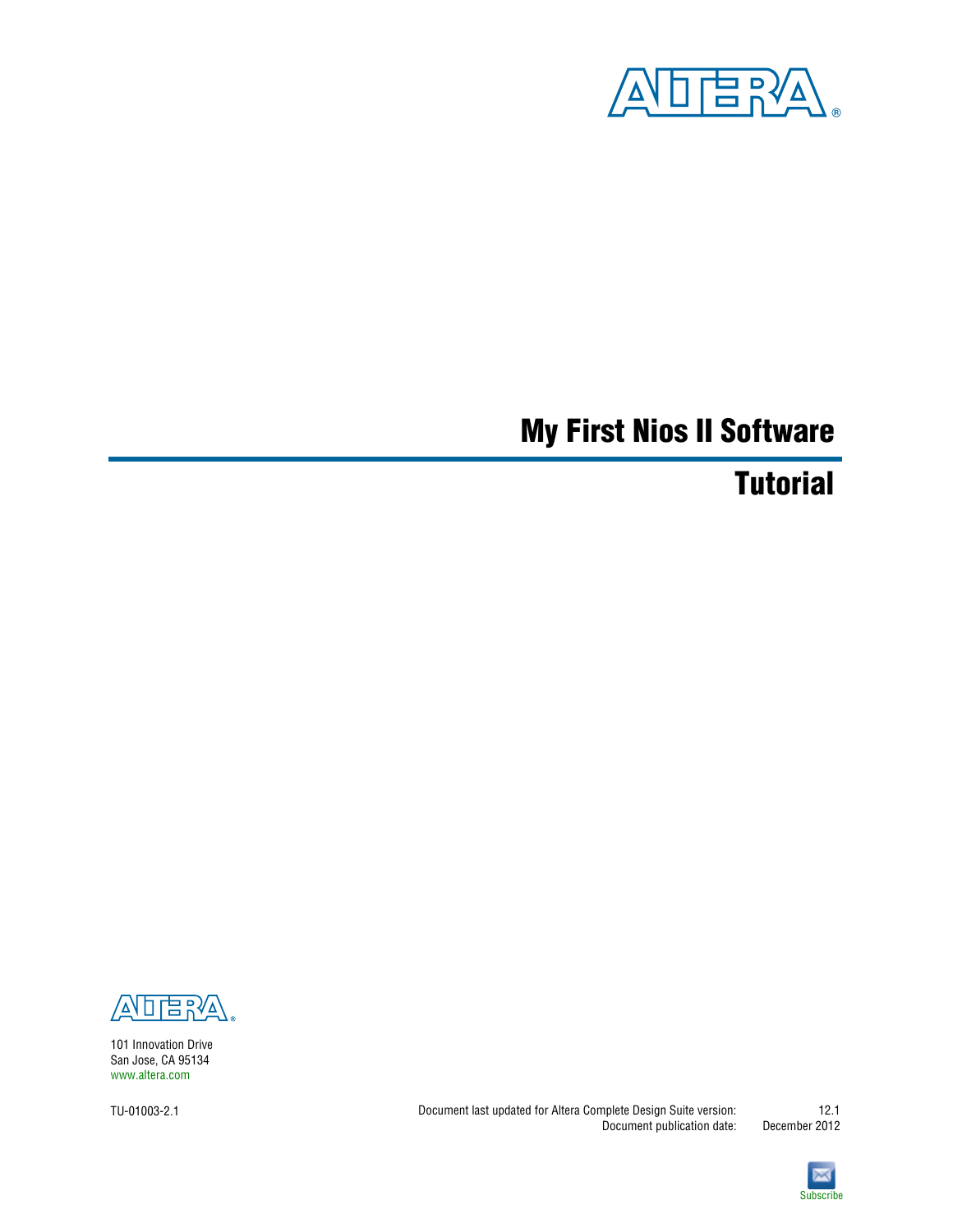

# **My First Nios II Software**

# **Tutorial**



101 Innovation Drive San Jose, CA 95134 [www.altera.com](http://www.altera.com)

TU-01003-2.1

Document last updated for Altera Complete Design Suite version: Document publication date: December 2012



**[Subscribe](https://www.altera.com/servlets/subscriptions/alert?id=TU-01003)** 

12.1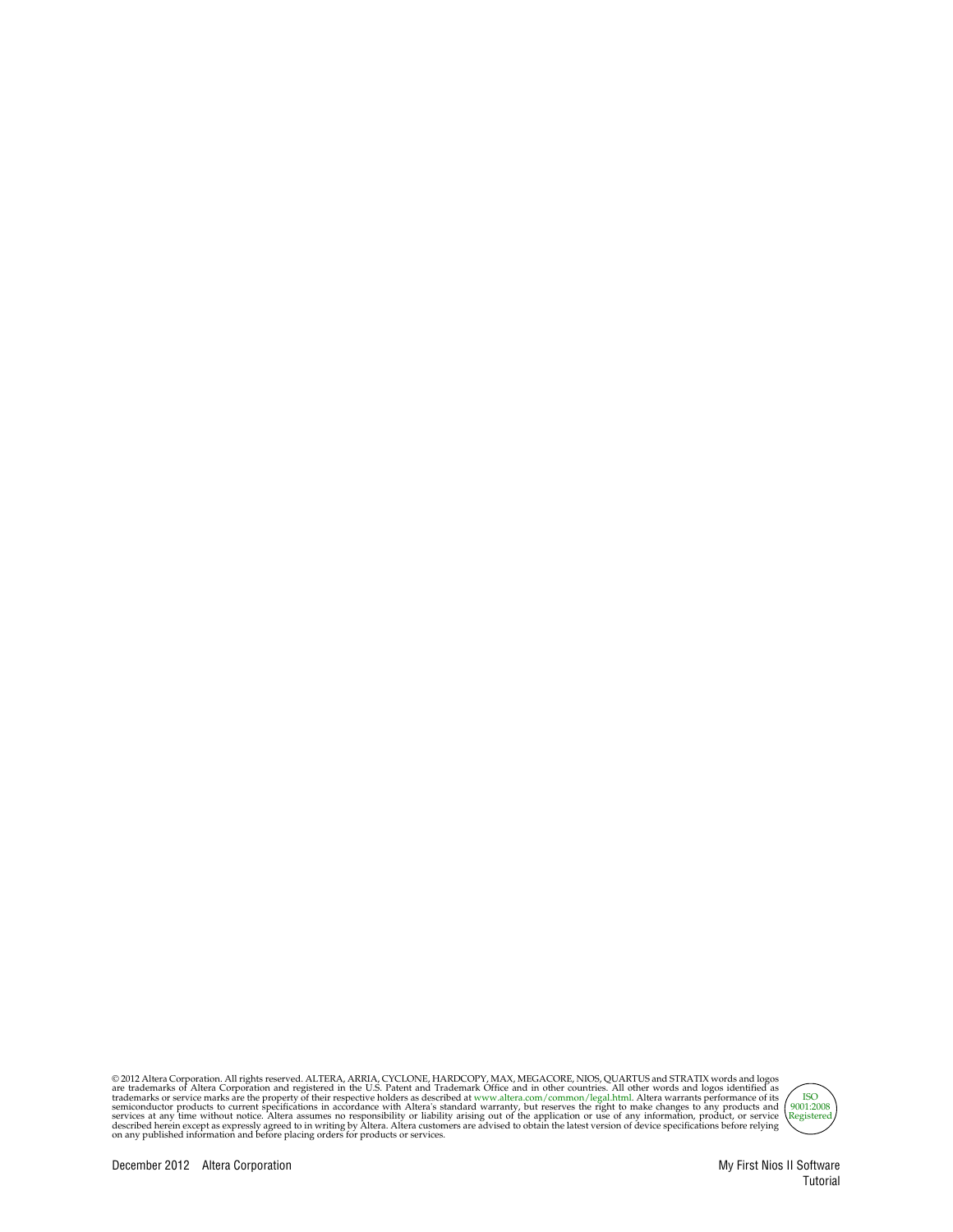© 2012 Altera Corporation. All rights reserved. ALTERA, ARRIA, CYCLONE, HARDCOPY, MAX, MEGACORE, NIOS, QUARTUS and STRATIX words and logos are trademarks of Altera Corporation and registered in the U.S. Patent and Trademar



Tutorial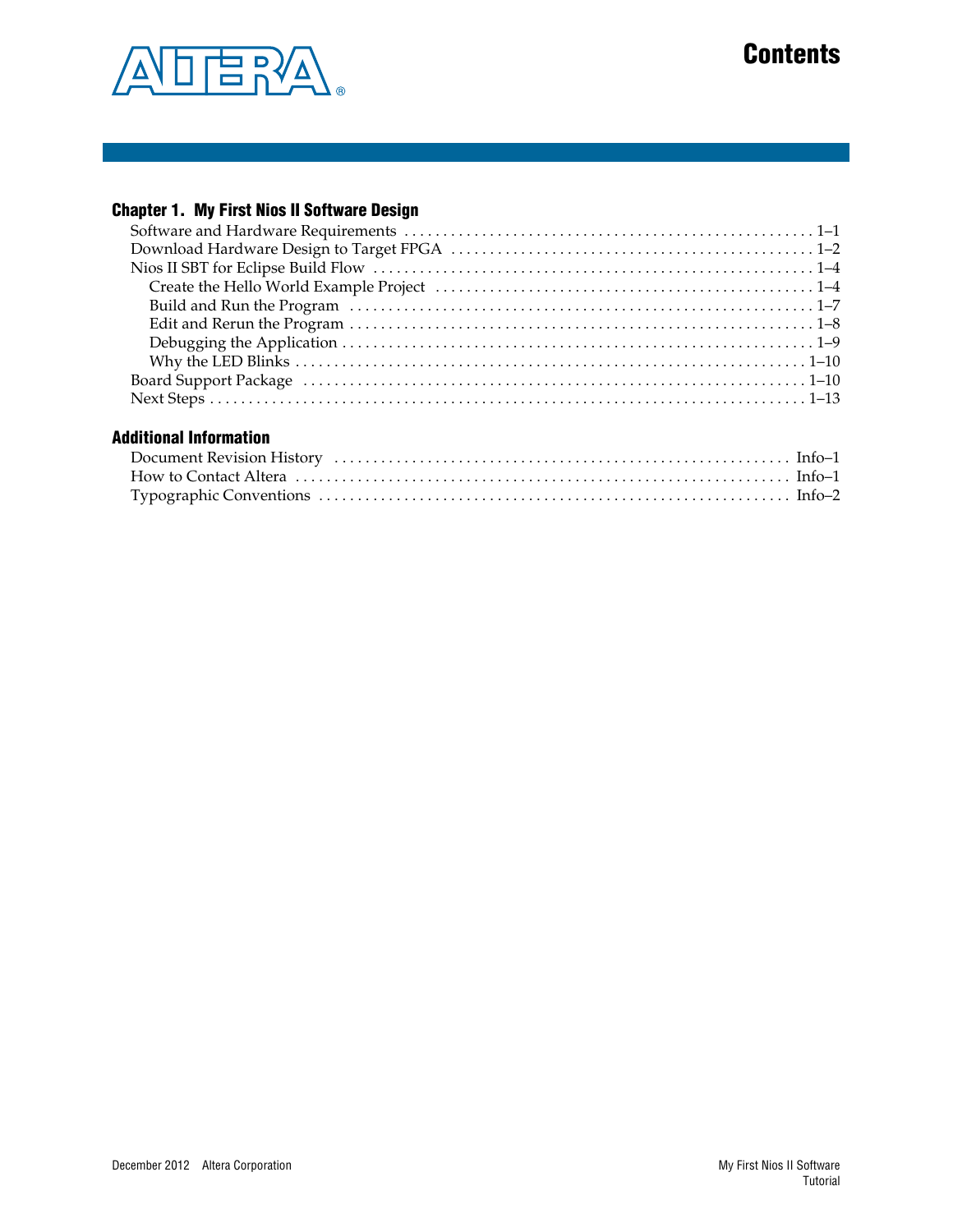

# **Contents**

### **[Chapter 1. My First Nios II Software Design](#page-4-0)**

### **[Additional Information](#page-18-0)**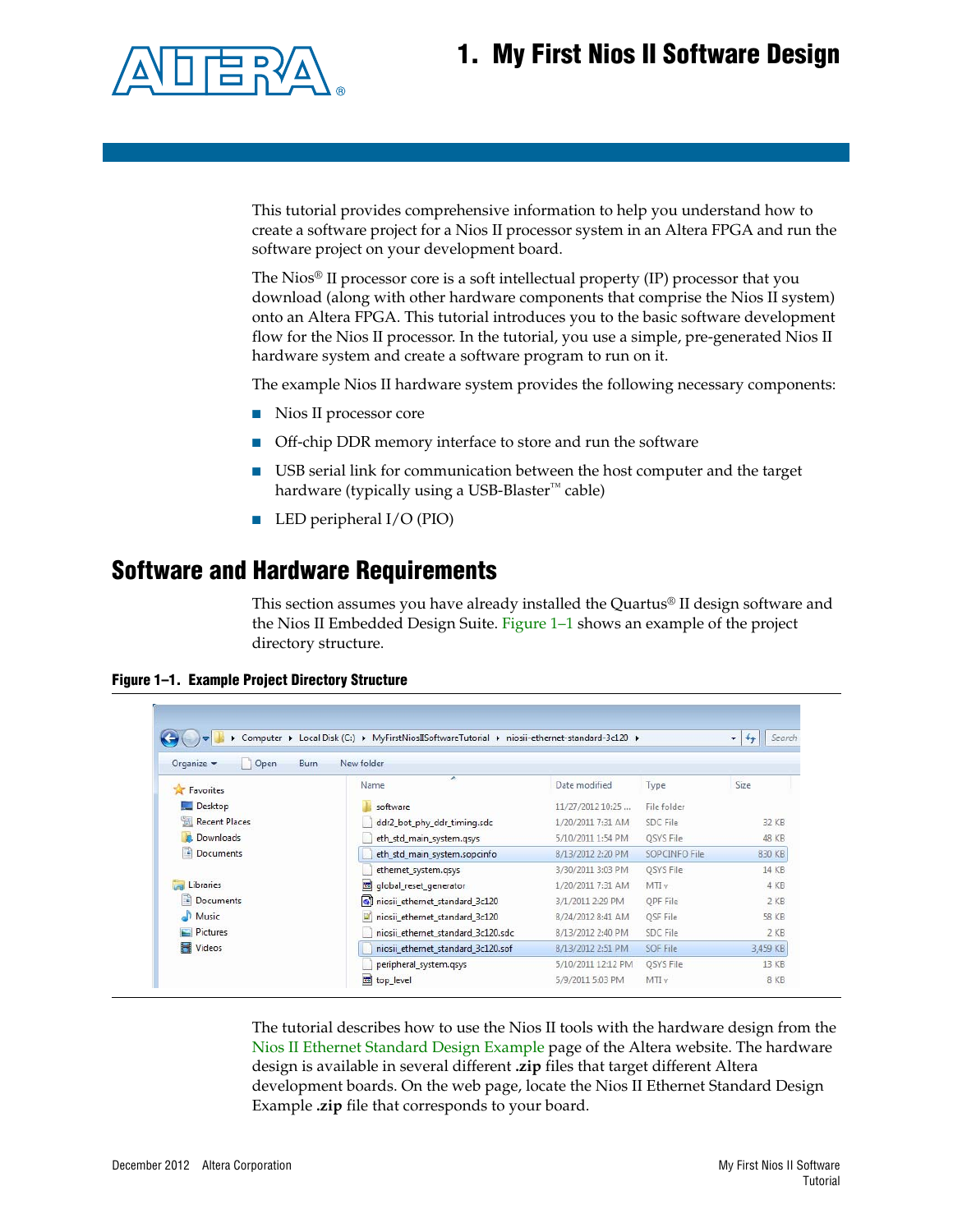# <span id="page-4-0"></span>**1. My First Nios II Software Design**



This tutorial provides comprehensive information to help you understand how to create a software project for a Nios II processor system in an Altera FPGA and run the software project on your development board.

The Nios<sup>®</sup> II processor core is a soft intellectual property  $(IP)$  processor that you download (along with other hardware components that comprise the Nios II system) onto an Altera FPGA. This tutorial introduces you to the basic software development flow for the Nios II processor. In the tutorial, you use a simple, pre-generated Nios II hardware system and create a software program to run on it.

The example Nios II hardware system provides the following necessary components:

- Nios II processor core
- Off-chip DDR memory interface to store and run the software
- USB serial link for communication between the host computer and the target hardware (typically using a USB-Blaster<sup>™</sup> cable)
- LED peripheral I/O (PIO)

### <span id="page-4-1"></span>**Software and Hardware Requirements**

This section assumes you have already installed the Quartus® II design software and the Nios II Embedded Design Suite. [Figure 1–1](#page-4-2) shows an example of the project directory structure.

<span id="page-4-2"></span>

| Figure 1-1. Example Project Directory Structure |  |  |  |  |
|-------------------------------------------------|--|--|--|--|
|-------------------------------------------------|--|--|--|--|

| Organize $\blacktriangledown$<br>Open | <b>Burn</b><br>New folder          |                    |                 |              |
|---------------------------------------|------------------------------------|--------------------|-----------------|--------------|
| Favorites                             | ×<br>Name                          | Date modified      | Type            | Size         |
| Desktop                               | software                           | 11/27/2012 10:25   | File folder     |              |
| 围<br><b>Recent Places</b>             | ddr2_bot_phy_ddr_timing.sdc        | 1/20/2011 7:31 AM  | SDC File        | 32 KB        |
| Downloads                             | eth_std_main_system.qsys           | 5/10/2011 1:54 PM  | OSYS File       | 48 KB        |
| E<br><b>Documents</b>                 | eth_std_main_system.sopcinfo       | 8/13/2012 2:20 PM  | SOPCINFO File   | 830 KB       |
|                                       | ethernet_system.gsys               | 3/30/2011 3:03 PM  | OSYS File       | 14 KB        |
| Libraries                             | global_reset_generator             | 1/20/2011 7:31 AM  | MTLv            | 4 KB         |
| E<br>Documents                        | niosii_ethernet_standard_3c120     | 3/1/2011 2:29 PM   | OPF File        | $2$ KB       |
| Music                                 | niosii ethernet standard 3c120     | 8/24/2012 8:41 AM  | <b>OSF File</b> | <b>58 KB</b> |
| Pictures                              | niosii ethernet standard 3c120.sdc | 8/13/2012 2:40 PM  | SDC File        | $2$ KB       |
| Videos                                | niosii_ethernet_standard_3c120.sof | 8/13/2012 2:51 PM  | SOF File        | 3,459 KB     |
|                                       | peripheral_system.qsys             | 5/10/2011 12:12 PM | QSYS File       | 13 KB        |
|                                       | top_level                          | 5/9/2011 5:03 PM   | MTIv            | 8 KB         |

The tutorial describes how to use the Nios II tools with the hardware design from the [Nios II Ethernet Standard Design Example](http://www.altera.com/support/examples/nios2/exm-net-std-de.html) page of the Altera website. The hardware design is available in several different **.zip** files that target different Altera development boards. On the web page, locate the Nios II Ethernet Standard Design Example **.zip** file that corresponds to your board.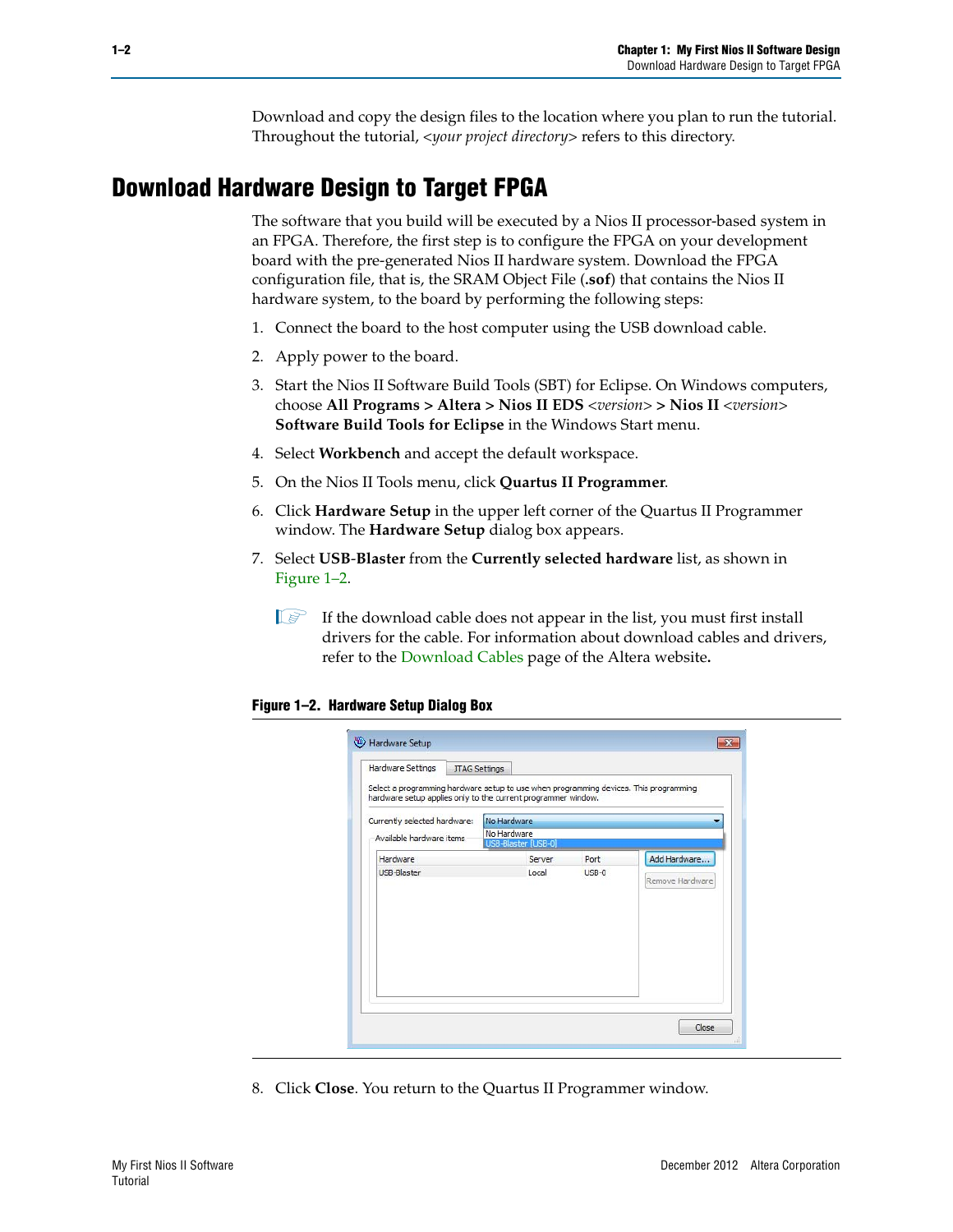Download and copy the design files to the location where you plan to run the tutorial. Throughout the tutorial, *<your project directory>* refers to this directory.

# <span id="page-5-0"></span>**Download Hardware Design to Target FPGA**

The software that you build will be executed by a Nios II processor-based system in an FPGA. Therefore, the first step is to configure the FPGA on your development board with the pre-generated Nios II hardware system. Download the FPGA configuration file, that is, the SRAM Object File (**.sof**) that contains the Nios II hardware system, to the board by performing the following steps:

- 1. Connect the board to the host computer using the USB download cable.
- 2. Apply power to the board.
- 3. Start the Nios II Software Build Tools (SBT) for Eclipse. On Windows computers, choose **All Programs > Altera > Nios II EDS** *<version>* **> Nios II** *<version>* **Software Build Tools for Eclipse** in the Windows Start menu.
- 4. Select **Workbench** and accept the default workspace.
- 5. On the Nios II Tools menu, click **Quartus II Programmer**.
- 6. Click **Hardware Setup** in the upper left corner of the Quartus II Programmer window. The **Hardware Setup** dialog box appears.
- 7. Select **USB**-**Blaster** from the **Currently selected hardware** list, as shown in [Figure 1–2](#page-5-1).
	- $\mathbb{I}$  If the download cable does not appear in the list, you must first install drivers for the cable. For information about download cables and drivers, refer to the [Download Cables](http://www.altera.com/support/devices/tools/altera/cables/tls-altera-cables.html) page of the Altera website**.**

#### <span id="page-5-1"></span>**Figure 1–2. Hardware Setup Dialog Box**

| Hardware Settings                                                                                                                                      | <b>JTAG Settings</b>               |         |                 |
|--------------------------------------------------------------------------------------------------------------------------------------------------------|------------------------------------|---------|-----------------|
| Select a programming hardware setup to use when programming devices. This programming<br>hardware setup applies only to the current programmer window. |                                    |         |                 |
| Currently selected hardware:                                                                                                                           | No Hardware                        |         |                 |
| Available hardware items                                                                                                                               | No Hardware<br>USB-Blaster [USB-0] |         |                 |
| Hardware                                                                                                                                               | Server                             | Port    | Add Hardware    |
| <b>USB-Blaster</b>                                                                                                                                     | Local                              | $USB-0$ | Remove Hardware |
|                                                                                                                                                        |                                    |         |                 |
|                                                                                                                                                        |                                    |         |                 |
|                                                                                                                                                        |                                    |         |                 |
|                                                                                                                                                        |                                    |         |                 |
|                                                                                                                                                        |                                    |         |                 |
|                                                                                                                                                        |                                    |         |                 |
|                                                                                                                                                        |                                    |         |                 |

8. Click **Close**. You return to the Quartus II Programmer window.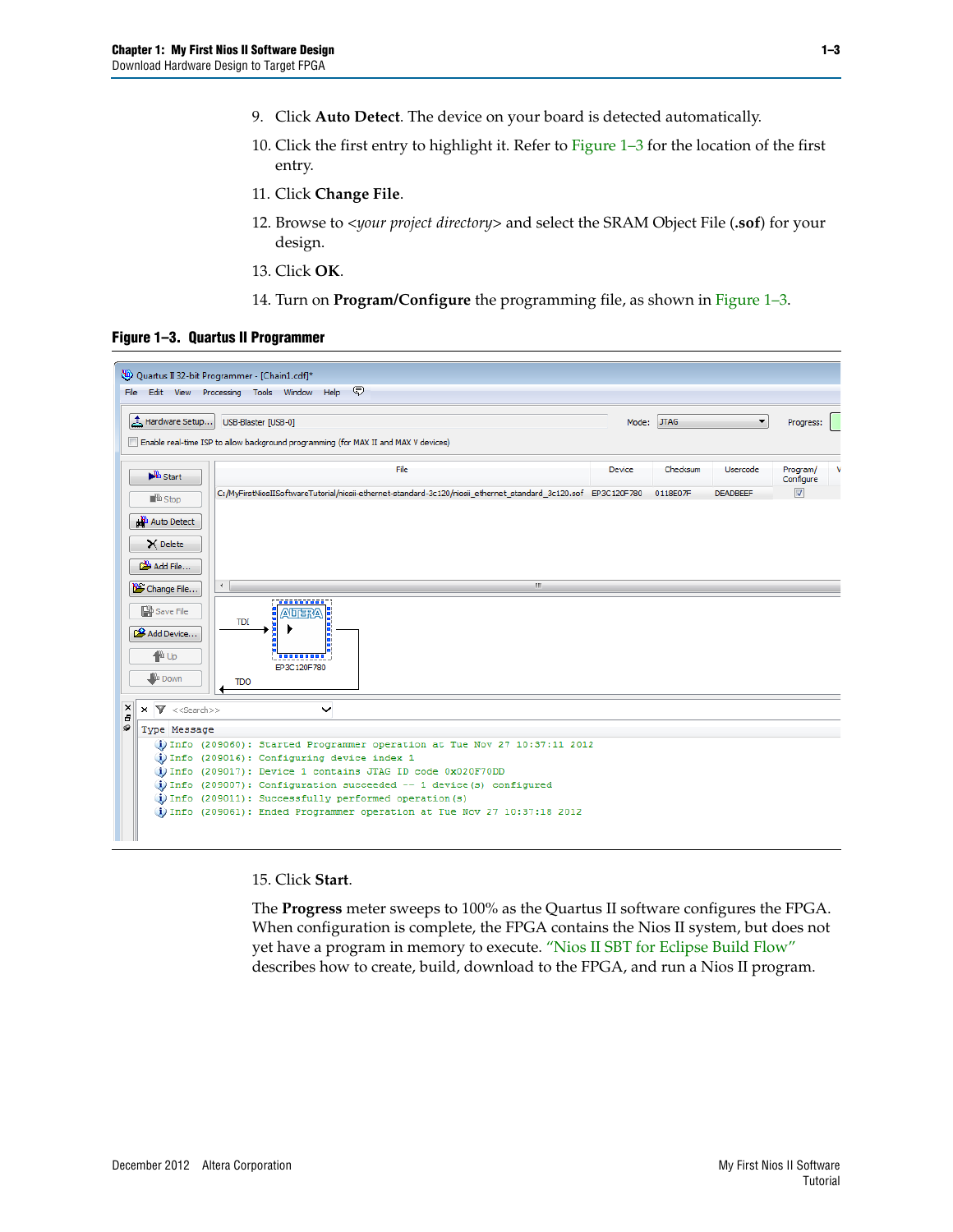- 9. Click **Auto Detect**. The device on your board is detected automatically.
- 10. Click the first entry to highlight it. Refer to [Figure 1–3](#page-6-0) for the location of the first entry.
- 11. Click **Change File**.
- 12. Browse to *<your project directory>* and select the SRAM Object File (**.sof**) for your design.
- 13. Click **OK**.
- 14. Turn on **Program/Configure** the programming file, as shown in [Figure 1–3.](#page-6-0)

#### <span id="page-6-0"></span>**Figure 1–3. Quartus II Programmer**



15. Click **Start**.

The **Progress** meter sweeps to 100% as the Quartus II software configures the FPGA. When configuration is complete, the FPGA contains the Nios II system, but does not yet have a program in memory to execute. ["Nios II SBT for Eclipse Build Flow"](#page-7-0) describes how to create, build, download to the FPGA, and run a Nios II program.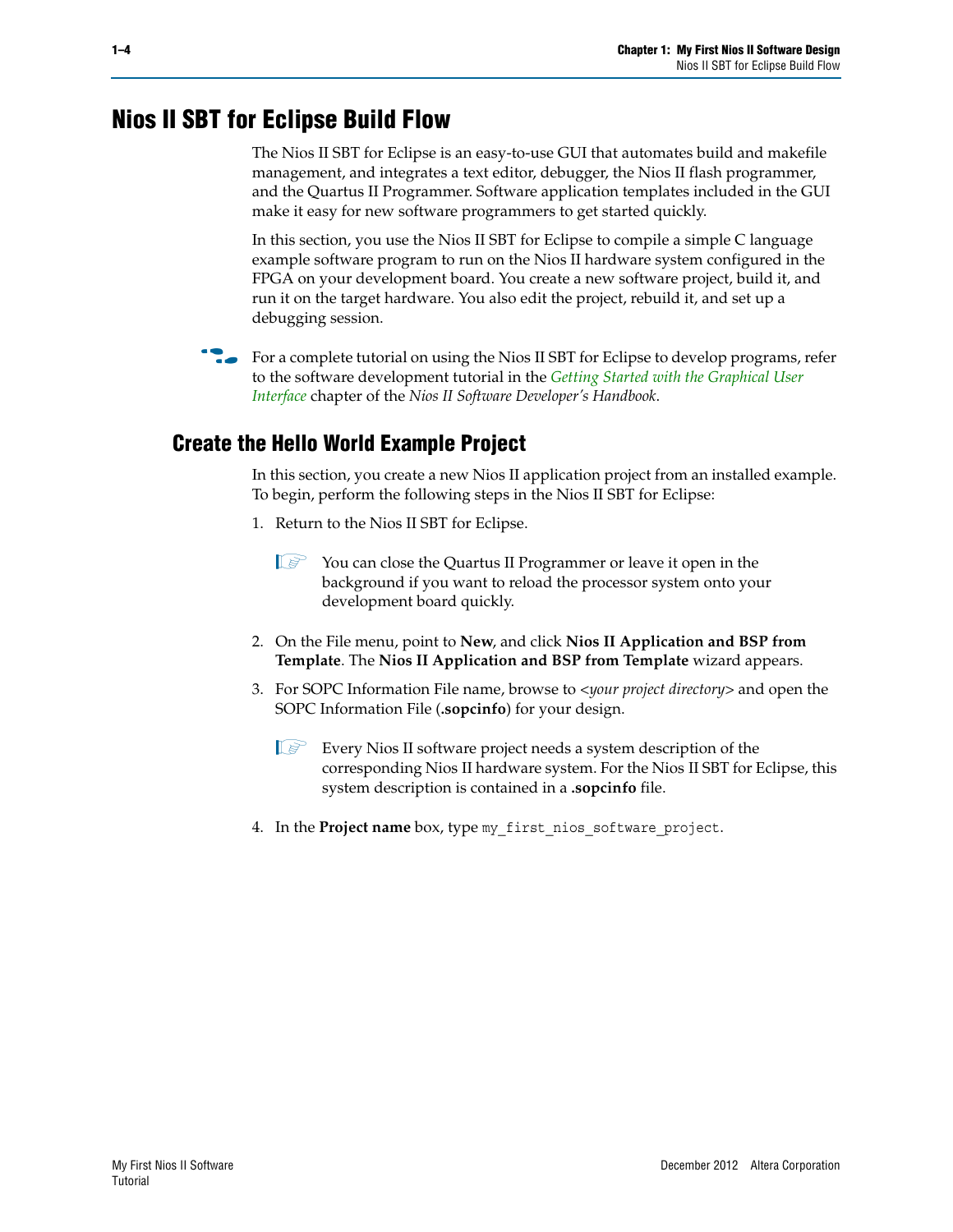## <span id="page-7-0"></span>**Nios II SBT for Eclipse Build Flow**

The Nios II SBT for Eclipse is an easy-to-use GUI that automates build and makefile management, and integrates a text editor, debugger, the Nios II flash programmer, and the Quartus II Programmer. Software application templates included in the GUI make it easy for new software programmers to get started quickly.

In this section, you use the Nios II SBT for Eclipse to compile a simple C language example software program to run on the Nios II hardware system configured in the FPGA on your development board. You create a new software project, build it, and run it on the target hardware. You also edit the project, rebuild it, and set up a debugging session.

For a complete tutorial on using the Nios II SBT for Eclipse to develop programs, refer to the software development tutorial in the *[Getting Started with the Graphical User](http://www.altera.com/literature/hb/nios2/n2sw_nii52017.pdf)  [Interface](http://www.altera.com/literature/hb/nios2/n2sw_nii52017.pdf)* chapter of the *Nios II Software Developer's Handbook*.

### <span id="page-7-1"></span>**Create the Hello World Example Project**

In this section, you create a new Nios II application project from an installed example. To begin, perform the following steps in the Nios II SBT for Eclipse:

- 1. Return to the Nios II SBT for Eclipse.
	- $\mathbb{I}$   $\mathbb{R}$  You can close the Quartus II Programmer or leave it open in the background if you want to reload the processor system onto your development board quickly.
- 2. On the File menu, point to **New**, and click **Nios II Application and BSP from Template**. The **Nios II Application and BSP from Template** wizard appears.
- 3. For SOPC Information File name, browse to *<your project directory>* and open the SOPC Information File (**.sopcinfo**) for your design.
	- $\mathbb{I} \mathcal{F}$  Every Nios II software project needs a system description of the corresponding Nios II hardware system. For the Nios II SBT for Eclipse, this system description is contained in a **.sopcinfo** file.
- 4. In the **Project name** box, type my\_first\_nios\_software\_project.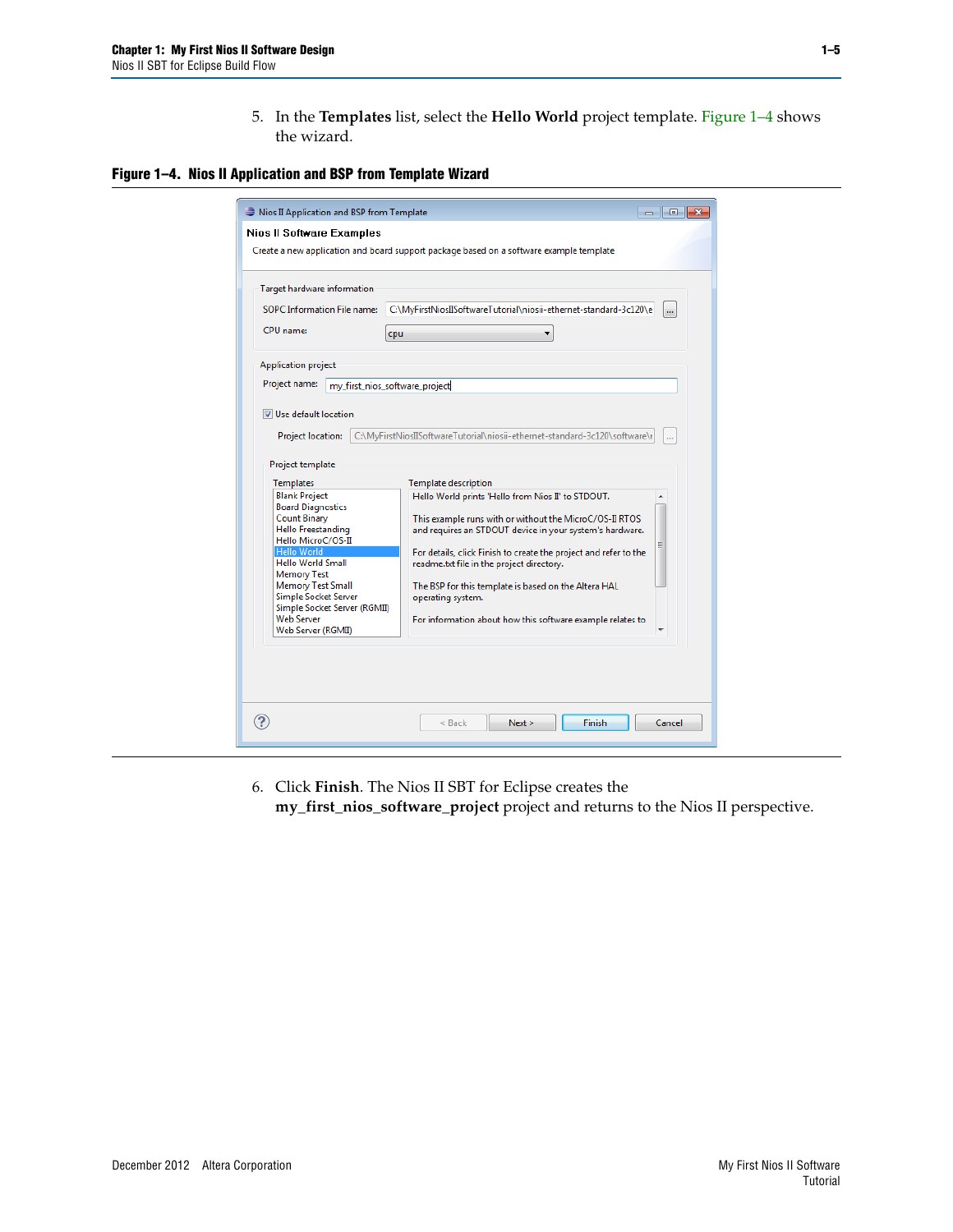5. In the **Templates** list, select the **Hello World** project template. [Figure 1–4](#page-8-0) shows the wizard.

#### <span id="page-8-0"></span>**Figure 1–4. Nios II Application and BSP from Template Wizard**

| <b>SOPC</b> Information File name:<br>CPU name:<br>cpu<br>Application project<br>Project name:<br>my first nios software project | C:\MyFirstNiosIISoftwareTutorial\niosii-ethernet-standard-3c120\e          | $\mathbf{m}$ |
|----------------------------------------------------------------------------------------------------------------------------------|----------------------------------------------------------------------------|--------------|
|                                                                                                                                  |                                                                            |              |
|                                                                                                                                  |                                                                            |              |
|                                                                                                                                  |                                                                            |              |
|                                                                                                                                  |                                                                            |              |
| Use default location                                                                                                             |                                                                            |              |
|                                                                                                                                  |                                                                            |              |
| <b>Project location:</b>                                                                                                         | C:\MyFirstNiosIISoftwareTutorial\niosii-ethernet-standard-3c120\software\r | m.           |
| Project template                                                                                                                 |                                                                            |              |
| Templates                                                                                                                        | <b>Template description</b>                                                |              |
| <b>Blank Project</b><br><b>Board Diagnostics</b>                                                                                 | Hello World prints 'Hello from Nios II' to STDOUT.                         |              |
| <b>Count Binary</b>                                                                                                              | This example runs with or without the MicroC/OS-II RTOS                    |              |
| Hello Freestanding<br>Hello MicroC/OS-II                                                                                         | and requires an STDOUT device in your system's hardware.                   |              |
| Hello World                                                                                                                      | For details, click Finish to create the project and refer to the           |              |
| Hello World Small                                                                                                                | readme.txt file in the project directory.                                  |              |
| <b>Memory Test</b><br><b>Memory Test Small</b>                                                                                   | The BSP for this template is based on the Altera HAL                       |              |
| <b>Simple Socket Server</b>                                                                                                      | operating system.                                                          |              |
|                                                                                                                                  |                                                                            |              |
| Simple Socket Server (RGMII)                                                                                                     |                                                                            |              |
| <b>Web Server</b><br>Web Server (RGMII)                                                                                          | For information about how this software example relates to                 |              |

6. Click **Finish**. The Nios II SBT for Eclipse creates the **my\_first\_nios\_software\_project** project and returns to the Nios II perspective.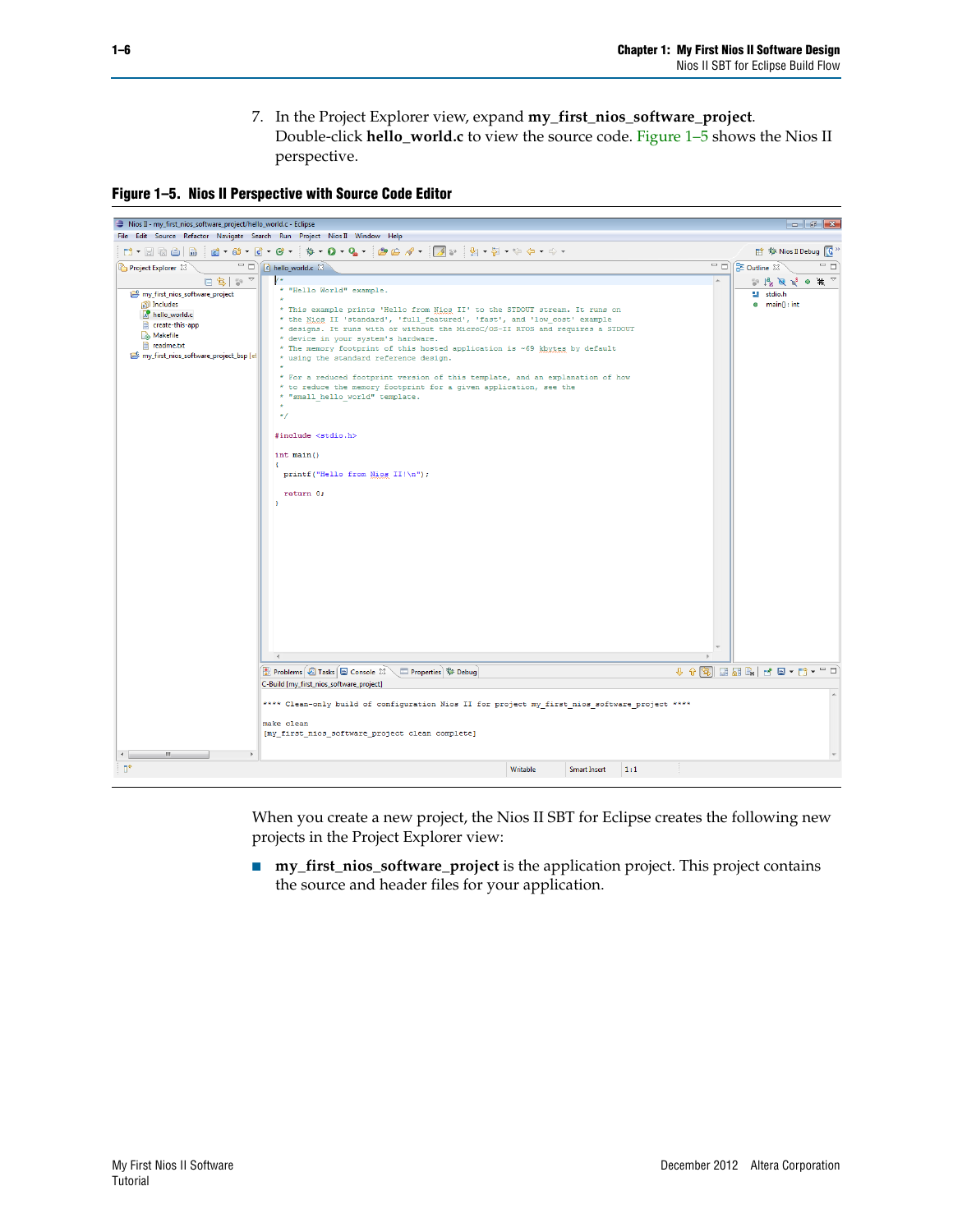7. In the Project Explorer view, expand **my\_first\_nios\_software\_project**. Double-click **hello\_world.c** to view the source code. [Figure 1–5](#page-9-0) shows the Nios II perspective.

<span id="page-9-0"></span>**Figure 1–5. Nios II Perspective with Source Code Editor**



When you create a new project, the Nios II SBT for Eclipse creates the following new projects in the Project Explorer view:

■ **my\_first\_nios\_software\_project** is the application project. This project contains the source and header files for your application.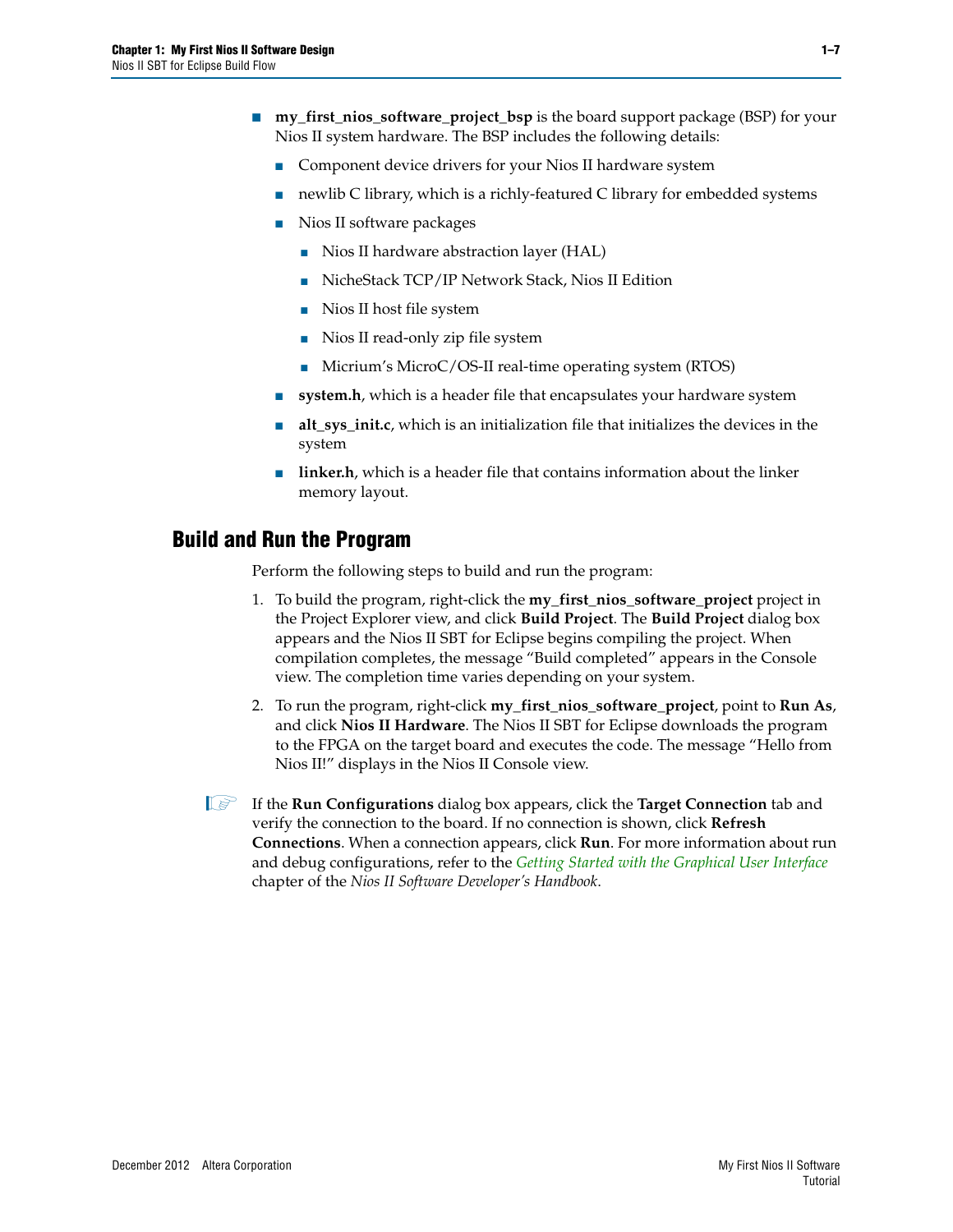- **my\_first\_nios\_software\_project\_bsp** is the board support package (BSP) for your Nios II system hardware. The BSP includes the following details:
	- Component device drivers for your Nios II hardware system
	- newlib C library, which is a richly-featured C library for embedded systems
	- Nios II software packages
		- Nios II hardware abstraction layer (HAL)
		- NicheStack TCP/IP Network Stack, Nios II Edition
		- Nios II host file system
		- Nios II read-only zip file system
		- Micrium's MicroC/OS-II real-time operating system (RTOS)
	- **system.h**, which is a header file that encapsulates your hardware system
	- **alt\_sys\_init.c**, which is an initialization file that initializes the devices in the system
	- **linker.h**, which is a header file that contains information about the linker memory layout.

### <span id="page-10-0"></span>**Build and Run the Program**

Perform the following steps to build and run the program:

- 1. To build the program, right-click the **my\_first\_nios\_software\_project** project in the Project Explorer view, and click **Build Project**. The **Build Project** dialog box appears and the Nios II SBT for Eclipse begins compiling the project. When compilation completes, the message "Build completed" appears in the Console view. The completion time varies depending on your system.
- 2. To run the program, right-click **my\_first\_nios\_software\_project**, point to **Run As**, and click **Nios II Hardware**. The Nios II SBT for Eclipse downloads the program to the FPGA on the target board and executes the code. The message "Hello from Nios II!" displays in the Nios II Console view.
- **1. If the Run Configurations** dialog box appears, click the **Target Connection** tab and verify the connection to the board. If no connection is shown, click **Refresh Connections**. When a connection appears, click **Run**. For more information about run and debug configurations, refer to the *[Getting Started with the Graphical User Interface](http://www.altera.com/literature/hb/nios2/n2sw_nii52017.pdf)* chapter of the *Nios II Software Developer's Handbook*.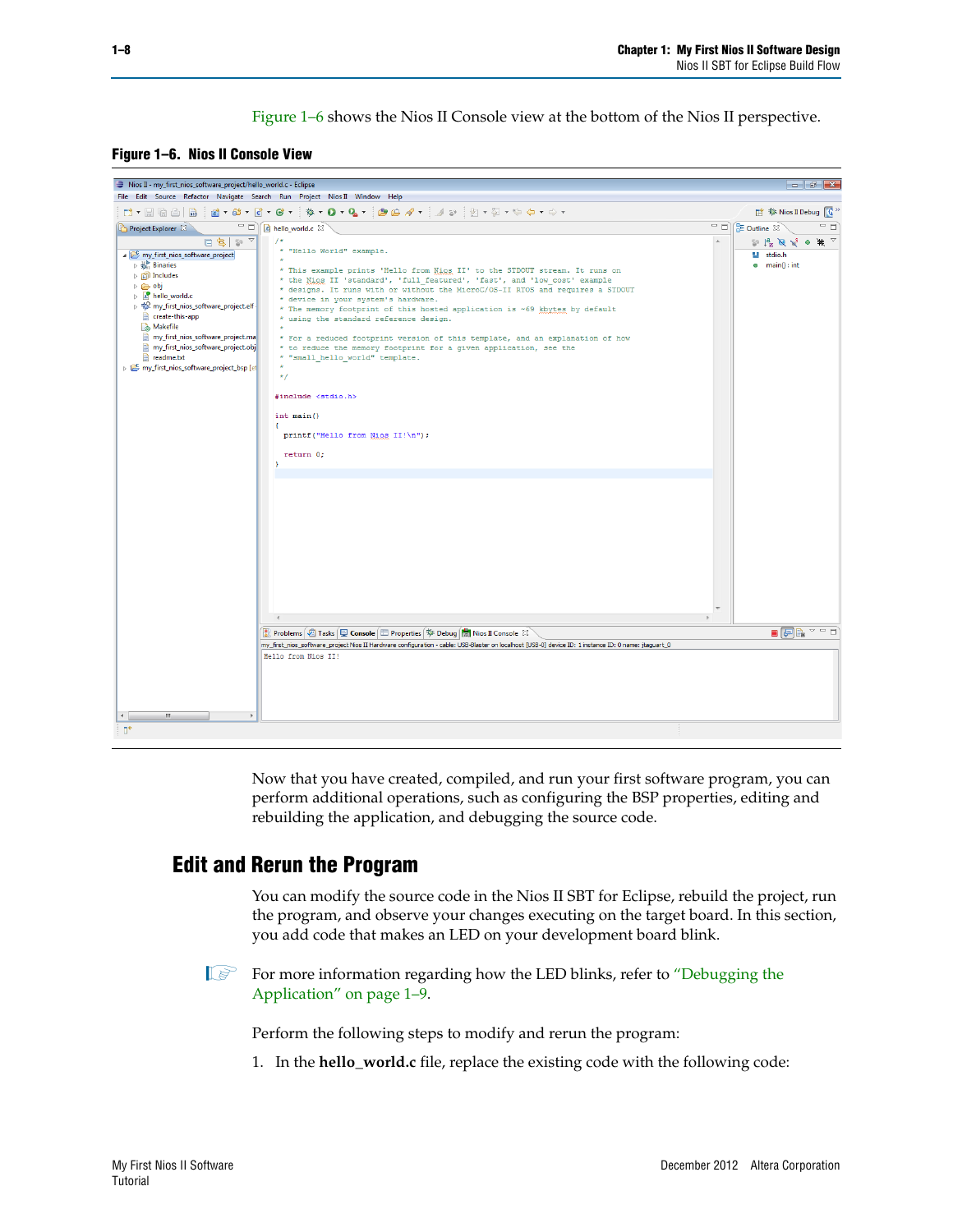[Figure 1–6](#page-11-1) shows the Nios II Console view at the bottom of the Nios II perspective.

<span id="page-11-1"></span>**Figure 1–6. Nios II Console View**



Now that you have created, compiled, and run your first software program, you can perform additional operations, such as configuring the BSP properties, editing and rebuilding the application, and debugging the source code.

### <span id="page-11-0"></span>**Edit and Rerun the Program**

You can modify the source code in the Nios II SBT for Eclipse, rebuild the project, run the program, and observe your changes executing on the target board. In this section, you add code that makes an LED on your development board blink.

**1 For more information regarding how the LED blinks, refer to "Debugging the** [Application" on page 1–9.](#page-12-0)

Perform the following steps to modify and rerun the program:

1. In the **hello\_world.c** file, replace the existing code with the following code: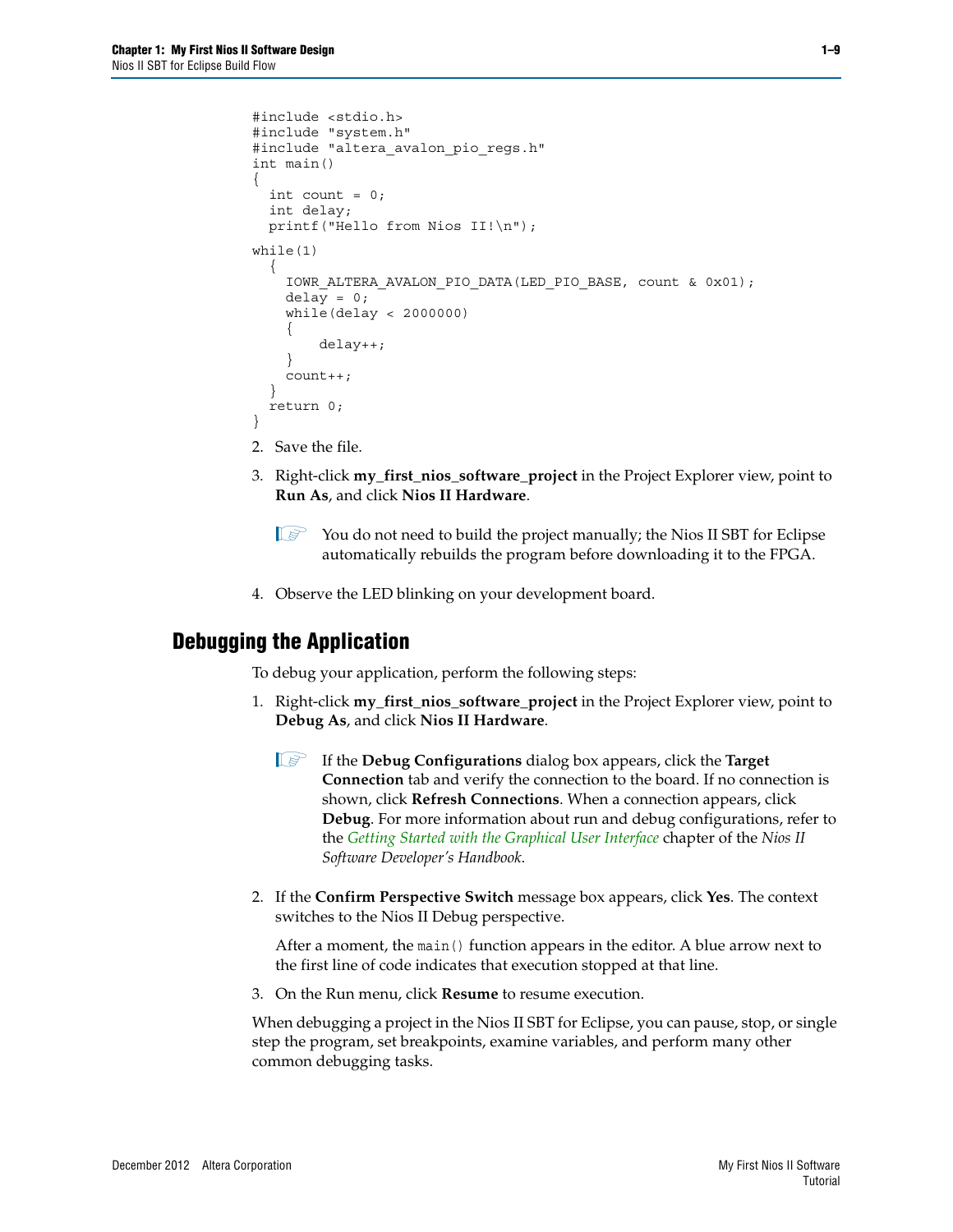```
#include <stdio.h>
#include "system.h"
#include "altera avalon pio regs.h"
int main()
{
  int count = 0;
 int delay;
 printf("Hello from Nios II!\n");
while(1) 
  {
    IOWR_ALTERA_AVALON_PIO_DATA(LED_PIO_BASE, count & 0x01);
    delay = 0;
    while(delay < 2000000)
    {
        delay++;
    }
    count++;
  } 
  return 0;
}
```
- 2. Save the file.
- 3. Right-click **my\_first\_nios\_software\_project** in the Project Explorer view, point to **Run As**, and click **Nios II Hardware**.
	- $\mathbb{I} \rightarrow$  You do not need to build the project manually; the Nios II SBT for Eclipse automatically rebuilds the program before downloading it to the FPGA.
- 4. Observe the LED blinking on your development board.

### <span id="page-12-0"></span>**Debugging the Application**

To debug your application, perform the following steps:

- 1. Right-click **my\_first\_nios\_software\_project** in the Project Explorer view, point to **Debug As**, and click **Nios II Hardware**.
	- 1 If the **Debug Configurations** dialog box appears, click the **Target Connection** tab and verify the connection to the board. If no connection is shown, click **Refresh Connections**. When a connection appears, click **Debug**. For more information about run and debug configurations, refer to the *[Getting Started with the Graphical User Interface](http://www.altera.com/literature/hb/nios2/n2sw_nii52017.pdf)* chapter of the *Nios II Software Developer's Handbook*.
- 2. If the **Confirm Perspective Switch** message box appears, click **Yes**. The context switches to the Nios II Debug perspective.

After a moment, the main() function appears in the editor. A blue arrow next to the first line of code indicates that execution stopped at that line.

3. On the Run menu, click **Resume** to resume execution.

When debugging a project in the Nios II SBT for Eclipse, you can pause, stop, or single step the program, set breakpoints, examine variables, and perform many other common debugging tasks.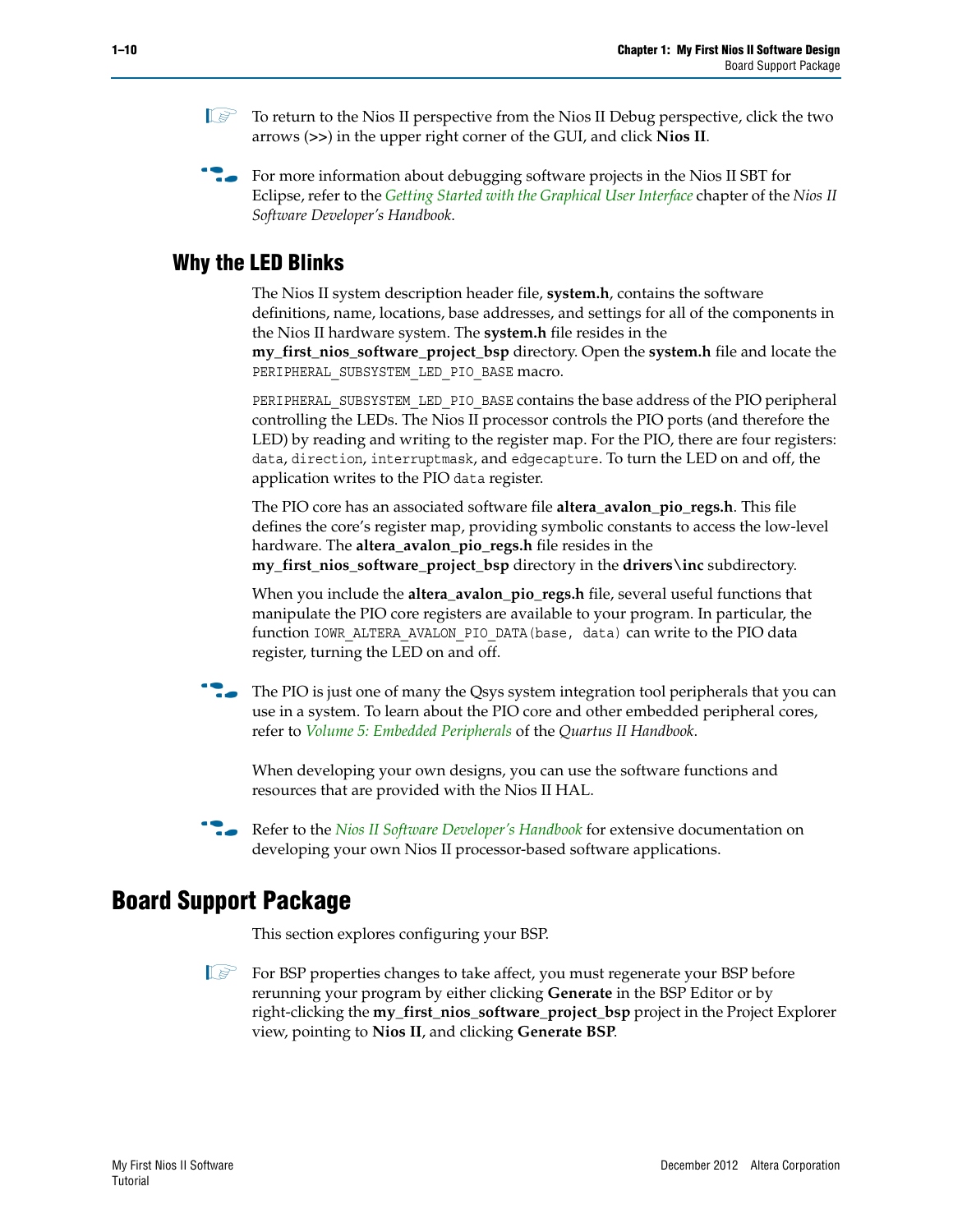- **1 To return to the Nios II perspective from the Nios II Debug perspective, click the two** arrows (**>>**) in the upper right corner of the GUI, and click **Nios II**.
- **For more information about debugging software projects in the Nios II SBT for** Eclipse, refer to the *[Getting Started with the Graphical User Interface](http://www.altera.com/literature/hb/nios2/n2sw_nii52017.pdf)* chapter of the *Nios II Software Developer's Handbook*.

### <span id="page-13-0"></span>**Why the LED Blinks**

The Nios II system description header file, **system.h**, contains the software definitions, name, locations, base addresses, and settings for all of the components in the Nios II hardware system. The **system.h** file resides in the **my\_first\_nios\_software\_project\_bsp** directory. Open the **system.h** file and locate the PERIPHERAL\_SUBSYSTEM\_LED\_PIO\_BASE macro.

PERIPHERAL\_SUBSYSTEM\_LED\_PIO\_BASE contains the base address of the PIO peripheral controlling the LEDs. The Nios II processor controls the PIO ports (and therefore the LED) by reading and writing to the register map. For the PIO, there are four registers: data, direction, interruptmask, and edgecapture. To turn the LED on and off, the application writes to the PIO data register.

The PIO core has an associated software file **altera\_avalon\_pio\_regs.h**. This file defines the core's register map, providing symbolic constants to access the low-level hardware. The **altera\_avalon\_pio\_regs.h** file resides in the **my\_first\_nios\_software\_project\_bsp** directory in the **drivers\inc** subdirectory.

When you include the **altera\_avalon\_pio\_regs.h** file, several useful functions that manipulate the PIO core registers are available to your program. In particular, the function IOWR\_ALTERA\_AVALON\_PIO\_DATA(base, data) can write to the PIO data register, turning the LED on and off.

**Follow** The PIO is just one of many the Qsys system integration tool peripherals that you can use in a system. To learn about the PIO core and other embedded peripheral cores, refer to *[Volume 5: Embedded Peripherals](http://www.altera.com/literature/hb/nios2/n2cpu_nii5v3.pdf)* of the *Quartus II Handbook*.

When developing your own designs, you can use the software functions and resources that are provided with the Nios II HAL.

**For Refer to the** *[Nios II Software Developer's Handbook](http://www.altera.com/literature/hb/nios2/n2sw_nii5v2.pdf)* **for extensive documentation on** developing your own Nios II processor-based software applications.

## <span id="page-13-1"></span>**Board Support Package**

This section explores configuring your BSP.

**1 For BSP properties changes to take affect, you must regenerate your BSP before** rerunning your program by either clicking **Generate** in the BSP Editor or by right-clicking the **my\_first\_nios\_software\_project\_bsp** project in the Project Explorer view, pointing to **Nios II**, and clicking **Generate BSP**.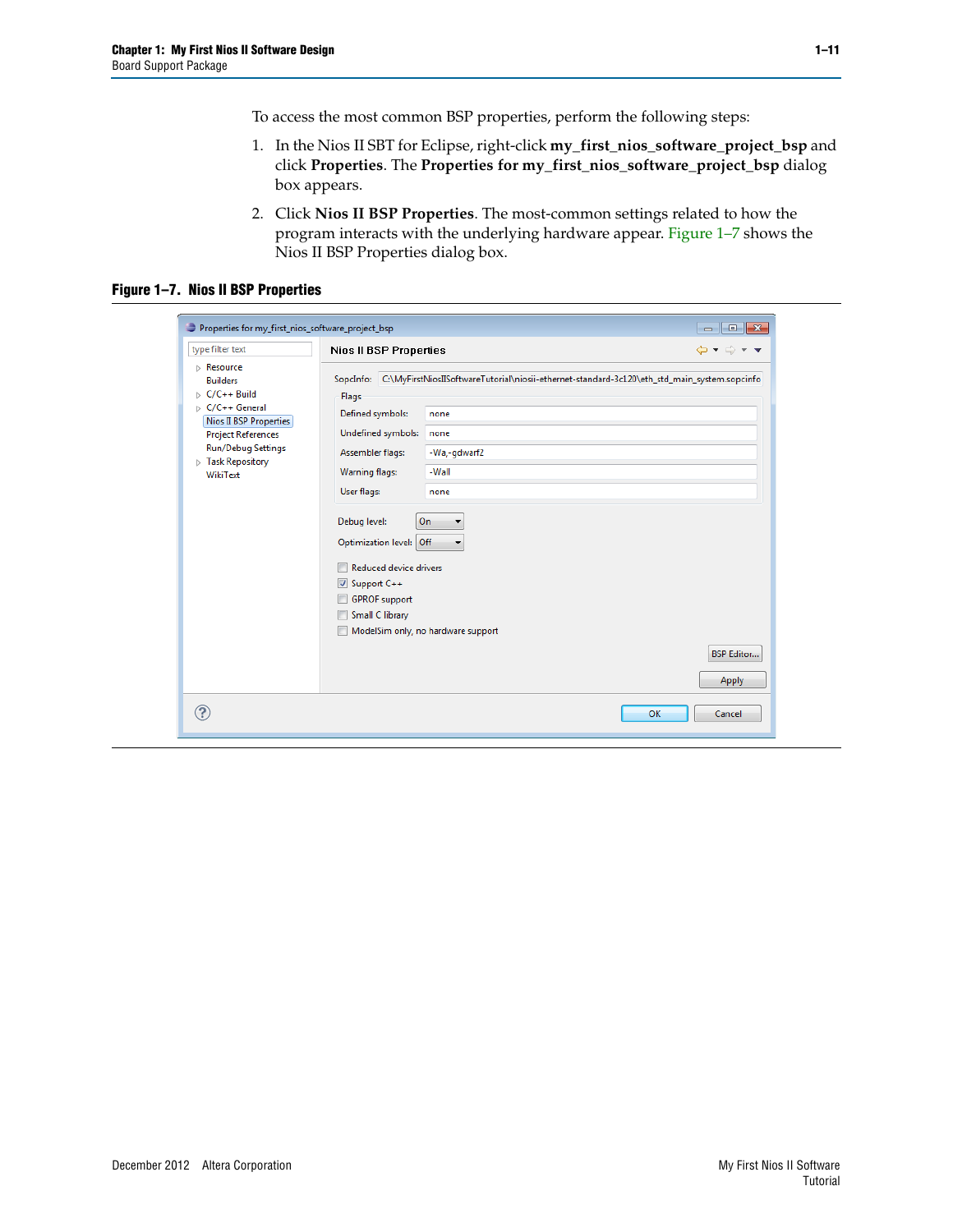To access the most common BSP properties, perform the following steps:

- 1. In the Nios II SBT for Eclipse, right-click **my\_first\_nios\_software\_project\_bsp** and click **Properties**. The **Properties for my\_first\_nios\_software\_project\_bsp** dialog box appears.
- 2. Click **Nios II BSP Properties**. The most-common settings related to how the program interacts with the underlying hardware appear. [Figure 1–7](#page-14-0) shows the Nios II BSP Properties dialog box.

<span id="page-14-0"></span>**Figure 1–7. Nios II BSP Properties**

| type filter text                                                                                                                                                                                                                  | <b>Nios II BSP Properties</b>                                                                                                                                                                                                                                                                                                                                                                                                                                                   | $\bigoplus \bullet \bullet \bigoplus \bullet \bullet \bullet$ |
|-----------------------------------------------------------------------------------------------------------------------------------------------------------------------------------------------------------------------------------|---------------------------------------------------------------------------------------------------------------------------------------------------------------------------------------------------------------------------------------------------------------------------------------------------------------------------------------------------------------------------------------------------------------------------------------------------------------------------------|---------------------------------------------------------------|
| Resource<br><b>Builders</b><br>$\triangleright$ C/C++ Build<br>$\triangleright$ C/C++ General<br>Nios II BSP Properties<br><b>Project References</b><br><b>Run/Debug Settings</b><br>$\triangleright$ Task Repository<br>WikiText | SopcInfo: C:\MyFirstNiosIISoftwareTutorial\niosii-ethernet-standard-3c120\eth_std_main_system.sopcinfo<br>Flags<br>Defined symbols:<br>none<br>Undefined symbols:<br>none<br>-Wa,-gdwarf2<br>Assembler flags:<br><b>Warning flags:</b><br>-Wall<br>User flags:<br>none<br>On<br>Debug level:<br>Optimization level: Off<br><b>Reduced device drivers</b><br>$\triangledown$ Support C++<br><b>GPROF</b> support<br><b>Small C library</b><br>ModelSim only, no hardware support | <b>BSP Editor</b><br>Apply                                    |
| ?                                                                                                                                                                                                                                 |                                                                                                                                                                                                                                                                                                                                                                                                                                                                                 | OK<br>Cancel                                                  |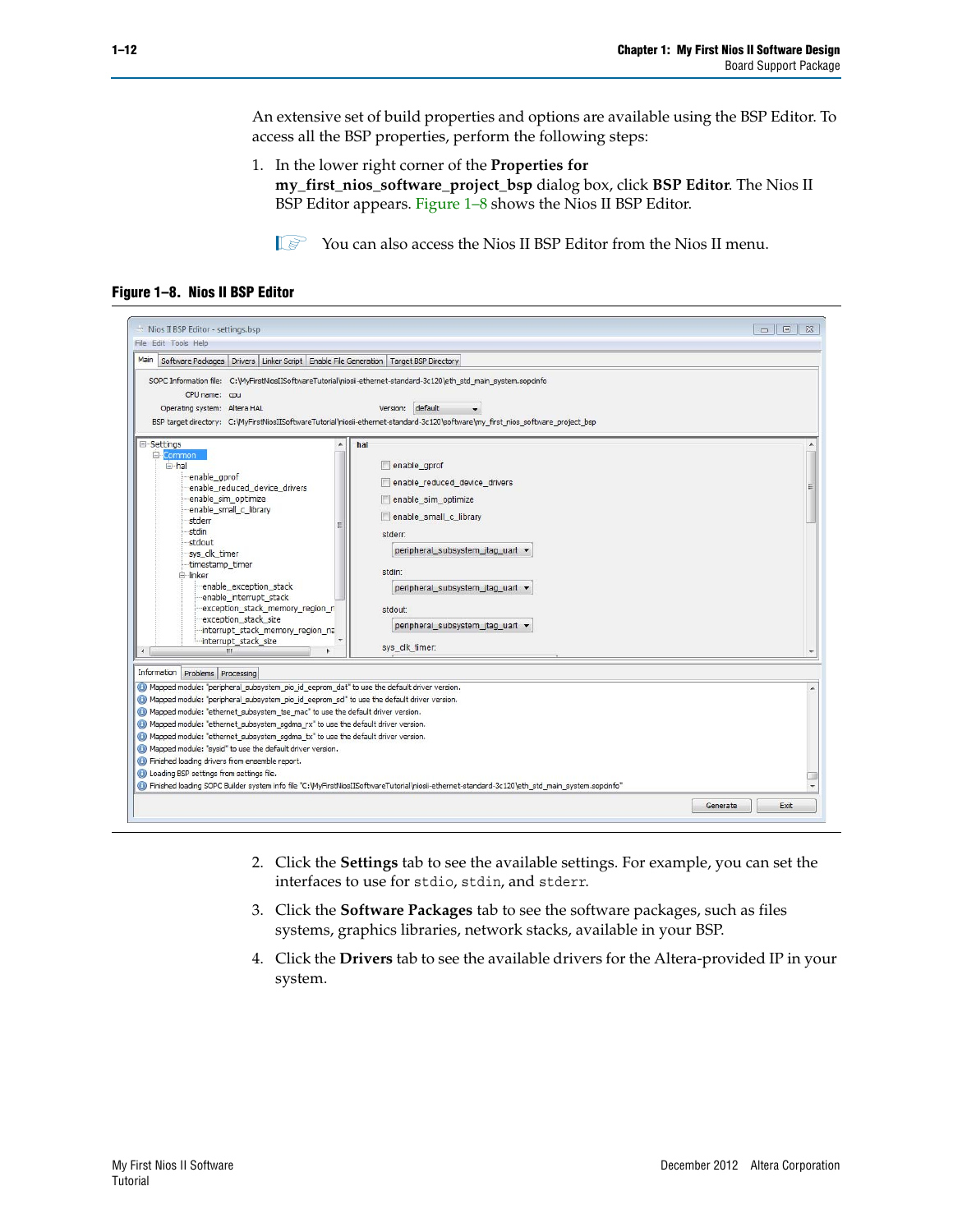An extensive set of build properties and options are available using the BSP Editor. To access all the BSP properties, perform the following steps:

1. In the lower right corner of the **Properties for my\_first\_nios\_software\_project\_bsp** dialog box, click **BSP Editor**. The Nios II BSP Editor appears. [Figure 1–8](#page-15-0) shows the Nios II BSP Editor.

 $\mathbb{I} \mathbb{S}$  You can also access the Nios II BSP Editor from the Nios II menu.

<span id="page-15-0"></span>**Figure 1–8. Nios II BSP Editor**

| Mios II BSP Editor - settings.bsp<br>File Edit Tools Help                                                                                                                                                                                                                                                                                                                                                                                                               |                                                                                                                                                                                                                                                                                     | $\Box$<br>$\Sigma$<br>$\blacksquare$ |
|-------------------------------------------------------------------------------------------------------------------------------------------------------------------------------------------------------------------------------------------------------------------------------------------------------------------------------------------------------------------------------------------------------------------------------------------------------------------------|-------------------------------------------------------------------------------------------------------------------------------------------------------------------------------------------------------------------------------------------------------------------------------------|--------------------------------------|
| Main<br>Software Packages   Drivers   Linker Script   Enable File Generation   Target BSP Directory                                                                                                                                                                                                                                                                                                                                                                     |                                                                                                                                                                                                                                                                                     |                                      |
| CPU name: cpu<br>Operating system: Altera HAL<br>G-Settings<br>Common                                                                                                                                                                                                                                                                                                                                                                                                   | SOPC Information file: C: WyFirstNiosIISoftwareTutorial\niosii-ethernet-standard-3c120\eth_std_main_system.sopcinfo<br>Version: default<br>BSP target directory: C: WyFirstNiosIISoftwareTutorial\niosii-ethernet-standard-3c120\software\my first nios software project bsp<br>hal |                                      |
| 白·hal<br>enable gprof<br>enable reduced device drivers<br>enable sim optimize<br>enable_small_c_library<br>stderr<br>Ξ<br>stdin<br>stdout<br>sys clk timer<br>timestamp timer<br><b>⊟</b> ∙linker<br>enable exception stack<br>enable interrupt stack<br>exception stack memory region r<br>exception stack size<br>interrupt_stack_memory_region_na<br>interrupt_stack_size                                                                                            | enable gprof<br>enable_reduced_device_drivers<br>enable_sim_optimize<br>enable_small_c_library<br>stderr:<br>peripheral_subsystem_jtag_uart v<br>stdin:<br>peripheral subsystem jtag uart v<br>stdout<br>peripheral_subsystem_jtag_uart +                                           | Ξ                                    |
| $\leftarrow$<br>m.<br>k                                                                                                                                                                                                                                                                                                                                                                                                                                                 | sys_clk_timer:                                                                                                                                                                                                                                                                      |                                      |
| Information Problems Processing<br>Co Mapped module: "peripheral subsystem pio id eeprom dat" to use the default driver version.                                                                                                                                                                                                                                                                                                                                        |                                                                                                                                                                                                                                                                                     |                                      |
| Mapped module: "peripheral subsystem pio id eeprom scl" to use the default driver version.<br>Mapped module: "ethernet subsystem tse mac" to use the default driver version.<br>Mapped module: "ethernet_subsystem_sgdma_rx" to use the default driver version.<br>6 Mapped module: "ethernet_subsystem_sgdma_tx" to use the default driver version.<br>Mapped module: "sysid" to use the default driver version.<br>(b) Finished loading drivers from ensemble report. |                                                                                                                                                                                                                                                                                     |                                      |
| <b>O</b> Loading BSP settings from settings file.                                                                                                                                                                                                                                                                                                                                                                                                                       |                                                                                                                                                                                                                                                                                     |                                      |
|                                                                                                                                                                                                                                                                                                                                                                                                                                                                         | 16 Finished loading SOPC Builder system info file "C: WyFirstNiosIISoftwareTutorial\niosii-ethernet-standard-3c120\eth_std_main_system.sopcinfo                                                                                                                                     |                                      |
|                                                                                                                                                                                                                                                                                                                                                                                                                                                                         | Generate                                                                                                                                                                                                                                                                            | Exit                                 |

- 2. Click the **Settings** tab to see the available settings. For example, you can set the interfaces to use for stdio, stdin, and stderr.
- 3. Click the **Software Packages** tab to see the software packages, such as files systems, graphics libraries, network stacks, available in your BSP.
- 4. Click the **Drivers** tab to see the available drivers for the Altera-provided IP in your system.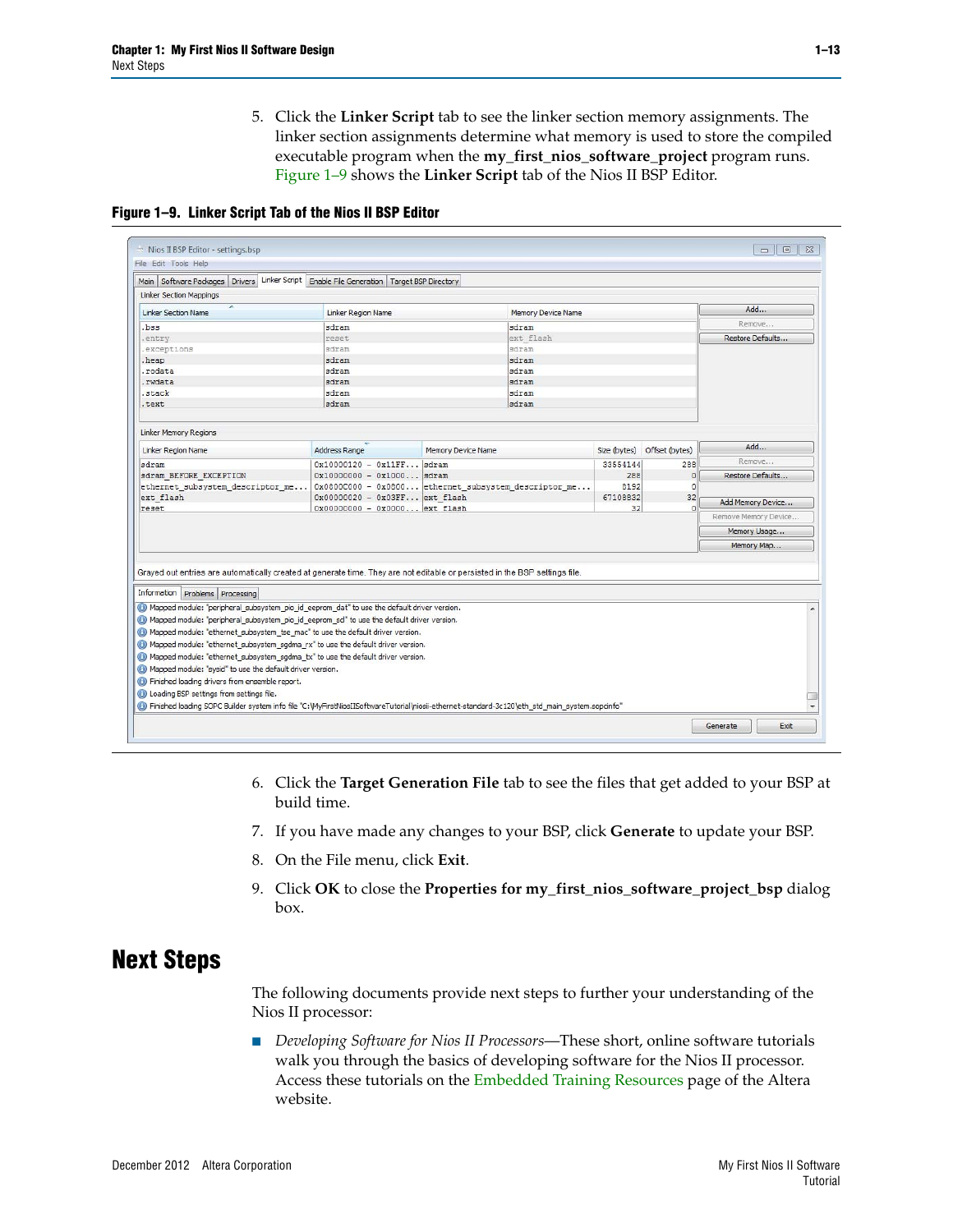5. Click the **Linker Script** tab to see the linker section memory assignments. The linker section assignments determine what memory is used to store the compiled executable program when the **my\_first\_nios\_software\_project** program runs. [Figure 1–9](#page-16-1) shows the **Linker Script** tab of the Nios II BSP Editor.

<span id="page-16-1"></span>**Figure 1–9. Linker Script Tab of the Nios II BSP Editor**

| Main Software Packages                                                                                                                                                                                                                                             | Drivers Linker Script Enable File Generation   Target BSP Directory |                                                                                                                                                            |          |                             |                      |
|--------------------------------------------------------------------------------------------------------------------------------------------------------------------------------------------------------------------------------------------------------------------|---------------------------------------------------------------------|------------------------------------------------------------------------------------------------------------------------------------------------------------|----------|-----------------------------|----------------------|
| <b>Linker Section Mappings</b>                                                                                                                                                                                                                                     |                                                                     |                                                                                                                                                            |          |                             |                      |
| A<br><b>Linker Section Name</b>                                                                                                                                                                                                                                    | Linker Region Name                                                  | Memory Device Name                                                                                                                                         |          |                             | Add                  |
| bss.                                                                                                                                                                                                                                                               | sdram                                                               | sdram                                                                                                                                                      |          |                             | Remove               |
| entry                                                                                                                                                                                                                                                              | reset                                                               | ext flash                                                                                                                                                  |          |                             | Restore Defaults     |
| exceptions                                                                                                                                                                                                                                                         | sdram                                                               | sdram                                                                                                                                                      |          |                             |                      |
| heap.                                                                                                                                                                                                                                                              | sdram                                                               | sdram                                                                                                                                                      |          |                             |                      |
| .rodata                                                                                                                                                                                                                                                            | sdram                                                               | sdram                                                                                                                                                      |          |                             |                      |
| .rwdata                                                                                                                                                                                                                                                            | sdram                                                               | sdram                                                                                                                                                      |          |                             |                      |
| stack                                                                                                                                                                                                                                                              | sdram                                                               | sdram                                                                                                                                                      |          |                             |                      |
| text.                                                                                                                                                                                                                                                              | sdram                                                               | sdram                                                                                                                                                      |          |                             |                      |
|                                                                                                                                                                                                                                                                    |                                                                     |                                                                                                                                                            |          |                             |                      |
| <b>Linker Memory Regions</b>                                                                                                                                                                                                                                       |                                                                     |                                                                                                                                                            |          |                             |                      |
| Linker Region Name                                                                                                                                                                                                                                                 | Address Range                                                       | Memory Device Name                                                                                                                                         |          | Size (bytes) Offset (bytes) | Add                  |
| sdram                                                                                                                                                                                                                                                              | $0x10000120 - 0x11FF$ sdram                                         |                                                                                                                                                            | 33554144 | 288                         | Remove               |
| sdram BEFORE EXCEPTION                                                                                                                                                                                                                                             | $0x10000000 - 0x1000$ sdram                                         |                                                                                                                                                            | 288      | $\overline{0}$              | Restore Defaults     |
| ethernet subsystem descriptor me                                                                                                                                                                                                                                   |                                                                     | 0x0800C000 - 0x0800 ethernet subsystem descriptor me                                                                                                       | 8192     | $\Omega$                    |                      |
| ext flash                                                                                                                                                                                                                                                          | 0x00000020 - 0x03FF ext flash                                       |                                                                                                                                                            | 67108832 | 32                          |                      |
| reset                                                                                                                                                                                                                                                              | 0x00000000 - 0x0000 ext flash                                       |                                                                                                                                                            | 32       |                             | Add Memory Device    |
|                                                                                                                                                                                                                                                                    |                                                                     |                                                                                                                                                            |          |                             | Remove Memory Device |
|                                                                                                                                                                                                                                                                    |                                                                     |                                                                                                                                                            |          |                             | Memory Usage         |
|                                                                                                                                                                                                                                                                    |                                                                     |                                                                                                                                                            |          |                             | Memory Map           |
| Grayed out entries are automatically created at generate time. They are not editable or persisted in the BSP settings file.<br>Information Problems Processing<br>in Mapped module: "peripheral subsystem pio id eeprom dat" to use the default driver version.    |                                                                     |                                                                                                                                                            |          |                             |                      |
| Mapped module: "peripheral subsystem pio id eeprom sd" to use the default driver version.                                                                                                                                                                          |                                                                     |                                                                                                                                                            |          |                             |                      |
| Mapped module: "ethernet subsystem tse mac" to use the default driver version.                                                                                                                                                                                     |                                                                     |                                                                                                                                                            |          |                             |                      |
| Mapped module: "ethernet subsystem sqdma rx" to use the default driver version.                                                                                                                                                                                    |                                                                     |                                                                                                                                                            |          |                             |                      |
|                                                                                                                                                                                                                                                                    |                                                                     |                                                                                                                                                            |          |                             |                      |
|                                                                                                                                                                                                                                                                    |                                                                     |                                                                                                                                                            |          |                             |                      |
|                                                                                                                                                                                                                                                                    |                                                                     |                                                                                                                                                            |          |                             |                      |
|                                                                                                                                                                                                                                                                    |                                                                     |                                                                                                                                                            |          |                             |                      |
| 6 Mapped module: "ethernet subsystem sqdma tx" to use the default driver version.<br>(b) Mapped module: "sysid" to use the default driver version.<br><b>C</b> Finished loading drivers from ensemble report.<br><b>O</b> Loading BSP settings from settings file. |                                                                     | <sup>6</sup> Finished loading SOPC Builder system info file "C: WyFirstNiosIISoftwareTutorial\niosii-ethernet-standard-3c120\eth_std_main_system.sopcinfo" |          |                             |                      |

- 6. Click the **Target Generation File** tab to see the files that get added to your BSP at build time.
- 7. If you have made any changes to your BSP, click **Generate** to update your BSP.
- 8. On the File menu, click **Exit**.
- 9. Click **OK** to close the **Properties for my\_first\_nios\_software\_project\_bsp** dialog box.

### <span id="page-16-0"></span>**Next Steps**

The following documents provide next steps to further your understanding of the Nios II processor:

■ *Developing Software for Nios II Processors*—These short, online software tutorials walk you through the basics of developing software for the Nios II processor. Access these tutorials on the [Embedded Training Resources](http://www.altera.com/technology/embedded/training/emb-training.html) page of the Altera [website.](http://www.altera.com/embedded)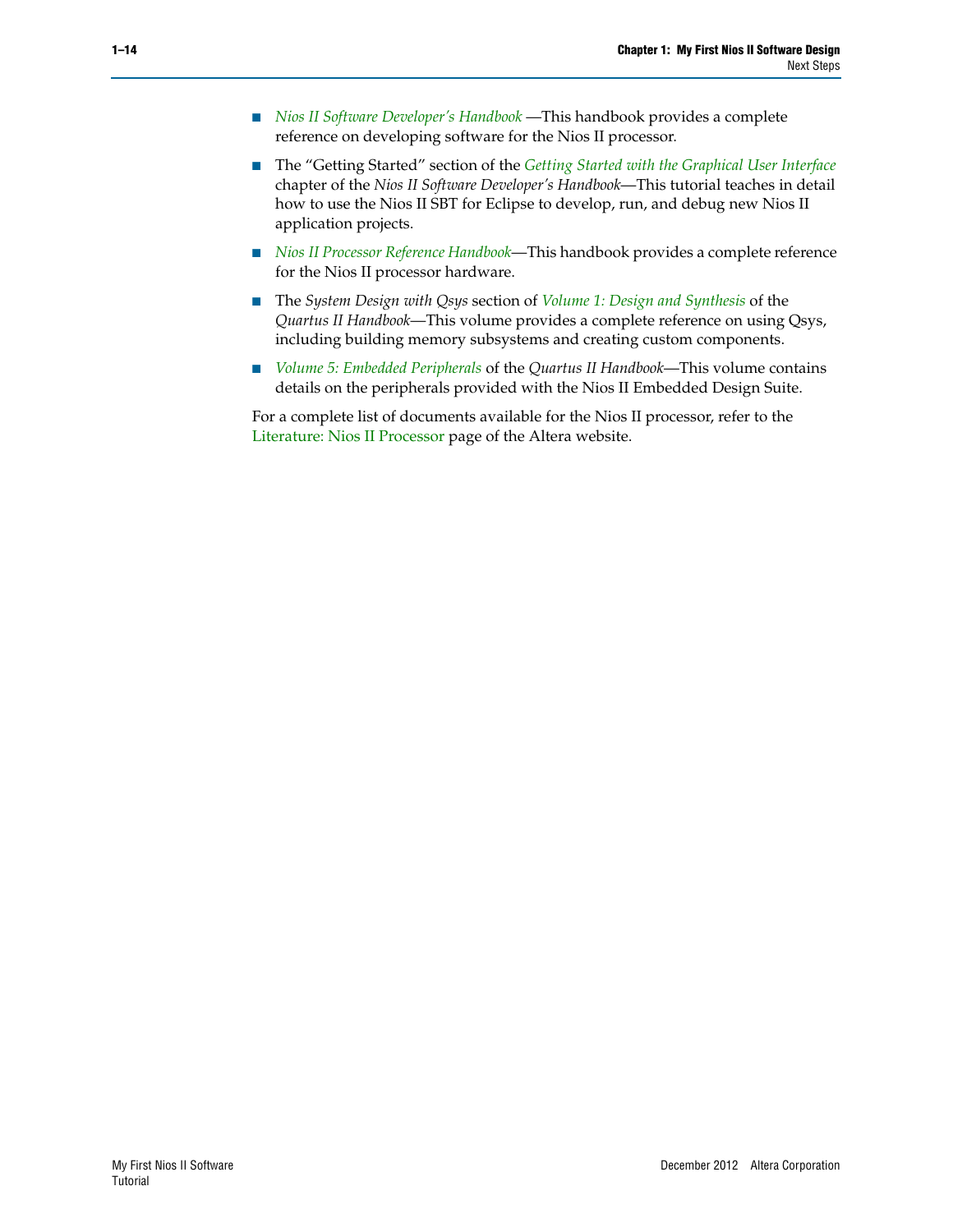- *[Nios II Software Developer's Handbook](http://www.altera.com/literature/hb/nios2/n2sw_nii5v2.pdf)* —This handbook provides a complete reference on developing software for the Nios II processor.
- The "Getting Started" section of the *[Getting Started with the Graphical User Interface](http://www.altera.com/literature/hb/nios2/n2sw_nii52017.pdf)* chapter of the *Nios II Software Developer's Handbook*—This tutorial teaches in detail how to use the Nios II SBT for Eclipse to develop, run, and debug new Nios II application projects.
- *[Nios II Processor Reference Handbook](http://www.altera.com/literature/hb/nios2/n2cpu_nii5v1.pdf)*—This handbook provides a complete reference for the Nios II processor hardware.
- The *System Design with Qsys* section of *[Volume 1: Design and Synthesis](http://www.altera.com/literature/hb/qts/qts_qii5v1.pdf)* of the *Quartus II Handbook*—This volume provides a complete reference on using Qsys, including building memory subsystems and creating custom components.
- *[Volume 5: Embedded Peripherals](http://www.altera.com/literature/hb/nios2/n2cpu_nii5v3.pdf)* of the *Quartus II Handbook*—This volume contains details on the peripherals provided with the Nios II Embedded Design Suite.

For a complete list of documents available for the Nios II processor, refer to the [Literature: Nios II Processor](http://www.altera.com/literature/lit-nio2.jsp) page of the Altera website.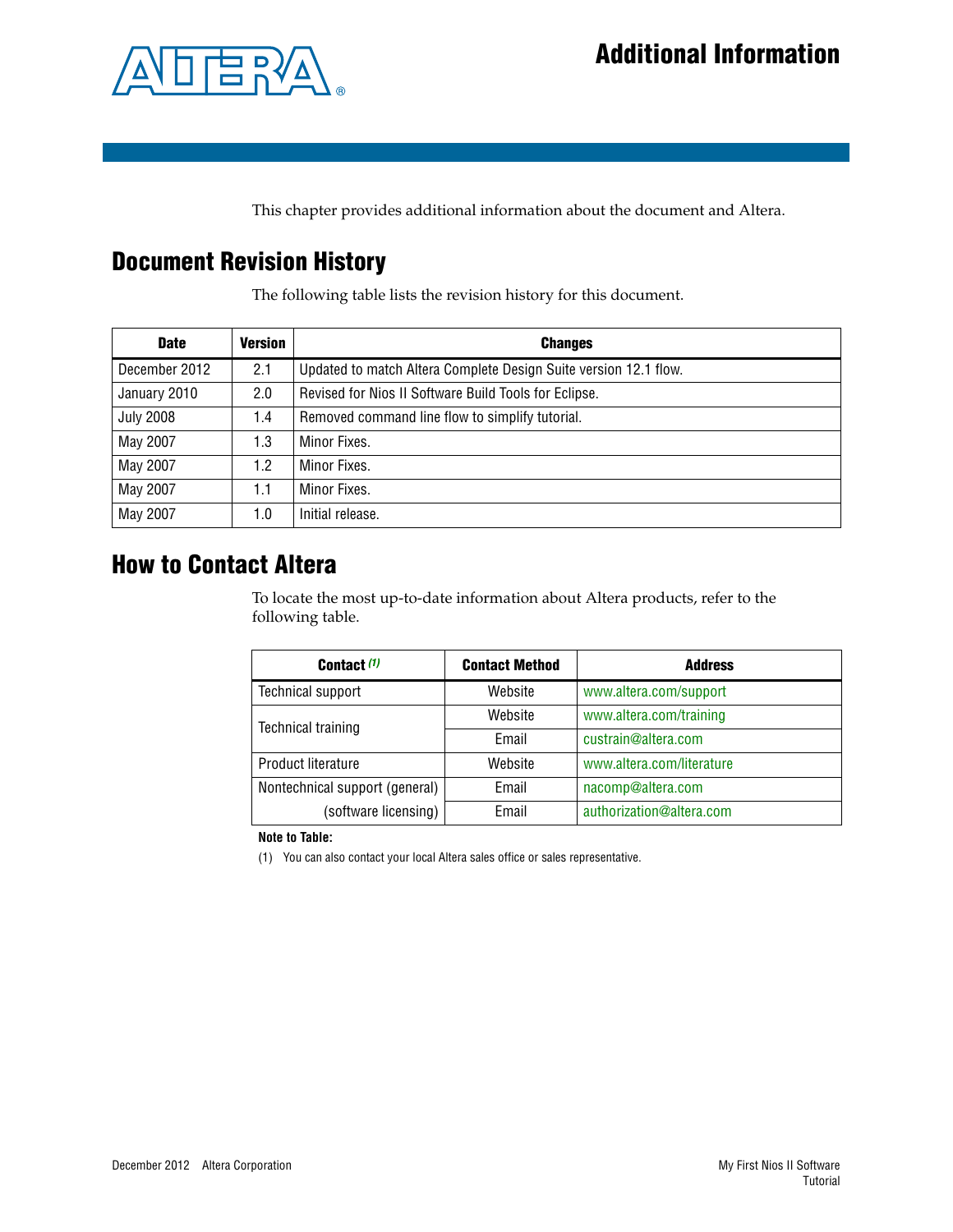

<span id="page-18-0"></span>This chapter provides additional information about the document and Altera.

# <span id="page-18-1"></span>**Document Revision History**

The following table lists the revision history for this document.

| <b>Date</b>      | <b>Version</b> | <b>Changes</b>                                                   |
|------------------|----------------|------------------------------------------------------------------|
| December 2012    | 2.1            | Updated to match Altera Complete Design Suite version 12.1 flow. |
| January 2010     | 2.0            | Revised for Nios II Software Build Tools for Eclipse.            |
| <b>July 2008</b> | 1.4            | Removed command line flow to simplify tutorial.                  |
| May 2007         | 1.3            | Minor Fixes.                                                     |
| May 2007         | 1.2            | Minor Fixes.                                                     |
| May 2007         | 1.1            | Minor Fixes.                                                     |
| May 2007         | 1.0            | Initial release.                                                 |

## <span id="page-18-2"></span>**How to Contact Altera**

To locate the most up-to-date information about Altera products, refer to the following table.

| Contact (1)                             | <b>Contact Method</b> | <b>Address</b>            |
|-----------------------------------------|-----------------------|---------------------------|
| Technical support                       | Website               | www.altera.com/support    |
| <b>Technical training</b>               | Website               | www.altera.com/training   |
|                                         | Email                 | custrain@altera.com       |
| Product literature                      | Website               | www.altera.com/literature |
| Nontechnical support (general)<br>Email |                       | nacomp@altera.com         |
| (software licensing)                    | <b>Fmail</b>          | authorization@altera.com  |

**Note to Table:**

<span id="page-18-3"></span>(1) You can also contact your local Altera sales office or sales representative.